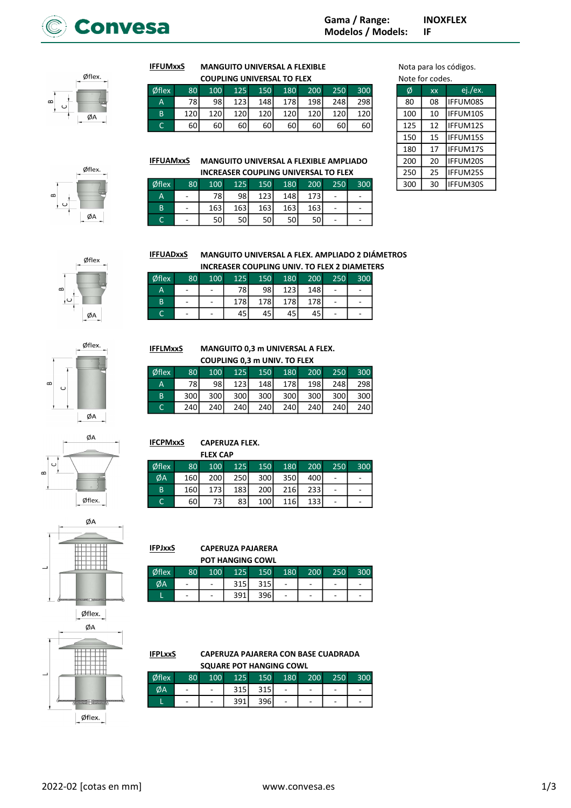

 $\phi$ flex.  $\omega$ ØΑ



| <b>IFFUMxxS</b> |                 | <b>MANGUITO UNIVERSAL A FLEXIBLE</b> |  | Nota para los co |                     |     |                 |           |  |
|-----------------|-----------------|--------------------------------------|--|------------------|---------------------|-----|-----------------|-----------|--|
|                 |                 | <b>COUPLING UNIVERSAL TO FLEX</b>    |  |                  |                     |     | Note for codes. |           |  |
| <b>Øflex</b>    | 80 <sup>°</sup> | 100 <sup>1</sup>                     |  |                  | 125 150 180 200 250 | 300 | Ø               | <b>XX</b> |  |

| onex | 8U. | י טטבי | IZ5. | ו טכבי | ו טאב | z∪∪⊣  | 25U I | 300. | ω   | xх | ej./ex.         |
|------|-----|--------|------|--------|-------|-------|-------|------|-----|----|-----------------|
| A    | 78  | 98     | 123  | 148 l  | 178   | 198 l | 248   | 298  | 80  | 08 | <b>IFFUM08S</b> |
| B    | 120 | 120    | 120  | 120    | 120   | 120   | 120   | 120  | 100 | 10 | IFFUM10S        |
| ◡    | 60  | 60     | 60   | 60 l   | 60    | 60'   | 60I   | 60   | 125 |    | IFFUM12S        |

RSAL A FLEXIBLE Nota para los códigos.

| Note for codes. |           |                 |  |  |  |  |  |  |
|-----------------|-----------|-----------------|--|--|--|--|--|--|
| Ø               | <b>XX</b> | ej./ex.         |  |  |  |  |  |  |
| 80              | 08        | <b>IFFUM08S</b> |  |  |  |  |  |  |
| 100             | 10        | IFFUM10S        |  |  |  |  |  |  |
| 125             | 12        | <b>IFFUM12S</b> |  |  |  |  |  |  |
| 150             | 15        | <b>IFFUM15S</b> |  |  |  |  |  |  |
| 180             | 17        | <b>IFFUM17S</b> |  |  |  |  |  |  |
| 200             | 20        | <b>IFFUM20S</b> |  |  |  |  |  |  |
| 250             | 25        | IFFUM25S        |  |  |  |  |  |  |
| 300             | 30        | IFFUM30S        |  |  |  |  |  |  |

MANGUITO UNIVERSAL A FLEXIBLE AMPLIADO **INCREASER COUPLING UNIVERSAL TO FLEX IFFUAMxxS** 

| Øflex  | 80 <sup>1</sup> | 100  | 125              | 150              | 180 | 200 | 250 | 300 | 300 | 30 | <b>IFFUM30S</b> |
|--------|-----------------|------|------------------|------------------|-----|-----|-----|-----|-----|----|-----------------|
| A      | -               | 781. | 981              | 123 <sup>I</sup> | 148 | 173 | -   | -   |     |    |                 |
| B      | ٠               | 163  | 163 <sub>l</sub> | 163              | 163 | 163 | ۰   | -   |     |    |                 |
| ∽<br>◡ | -               | 50   | 50 l             | 50 l             | 50  | 50  | -   | -   |     |    |                 |





**IFFLMxxS** 

**IFCPMxxS** 

#### MANGUITO UNIVERSAL A FLEX. AMPLIADO 2 DIÁMETROS INCREASER COUPLING UNIV. TO FLEX 2 DIAMETERS **IFFUADxxS**

|             |                 |     | MULINLAJLIN COOF LINU ONN V. TO TELA 2 DIANIET |      |        |     |     |     |
|-------------|-----------------|-----|------------------------------------------------|------|--------|-----|-----|-----|
| $\phi$ flex | 80 <sup>1</sup> | 100 | 125                                            | 150  | 180    | 200 | 250 | 300 |
| А           |                 | ۰   | 78I                                            | 98 l | $1231$ | 148 |     |     |
| B           |                 |     | 178                                            | 178I | 178    | 178 |     |     |
|             |                 | ۰   | 45                                             |      |        | 45  | -   |     |

MANGUITO 0,3 m UNIVERSAL A FLEX. COUPLING 0,3 m UNIV. TO FLEX Øflex 80 100 125 150 180 200 250 300 A 78 98 123 148 178 198 248 298 B 300 300 300 300 300 300 300 300 C 240 240 240 240 240 240 240 240

 $\mathbf{a}$ Ū ØA





#### CAPERUZA PAJARERA **IFPJxxS**

CAPERUZA FLEX. FLEX CAP

|       |     |   | <b>POT HANGING COWL</b> |     |               |         |                          |   |
|-------|-----|---|-------------------------|-----|---------------|---------|--------------------------|---|
| Øflex | ו ח |   | 125                     | 150 | $180^{\circ}$ | $200 -$ |                          |   |
|       | -   | - |                         |     | -             | -       | $\overline{\phantom{0}}$ | - |

| oflex : | 80. | 1001 | 125.  | -150  | 180 I | <b>200</b> | 250 | 300 |
|---------|-----|------|-------|-------|-------|------------|-----|-----|
| ØА      |     |      | 315 l | 315 l |       |            |     |     |
|         | -   |      | 391 l | 396I  |       |            |     |     |

Øflex 80 100 125 150 180 200 250 300  $\emptyset$ A 160 200 250 300 350 400 -B 160 173 183 200 216 233 - - $C$  60 73 83 100 116 133 - -

Øflex. ØA Øflex.

| IFPLxxS | CAPERUZA PAJARERA CON BASE CUADRADA |  |  |     |     |
|---------|-------------------------------------|--|--|-----|-----|
|         | <b>SQUARE POT HANGING COWL</b>      |  |  |     |     |
| Øflex   | 80 100 125 150 180 200              |  |  | 250 | 300 |

|                   | <b>SQUARE POT HANGING COWL</b> |     |       |     |     |                          |     |     |  |  |
|-------------------|--------------------------------|-----|-------|-----|-----|--------------------------|-----|-----|--|--|
| <sup>S</sup> flex | 80 <sup>1</sup>                | 100 | 125   | 150 | 180 | 200                      | 250 | 300 |  |  |
| ØА                | ٠                              |     | 315 l | 315 |     |                          | -   |     |  |  |
|                   | $\qquad \qquad -$              |     | 391   | 396 |     | $\overline{\phantom{0}}$ |     |     |  |  |

 $\infty$ 



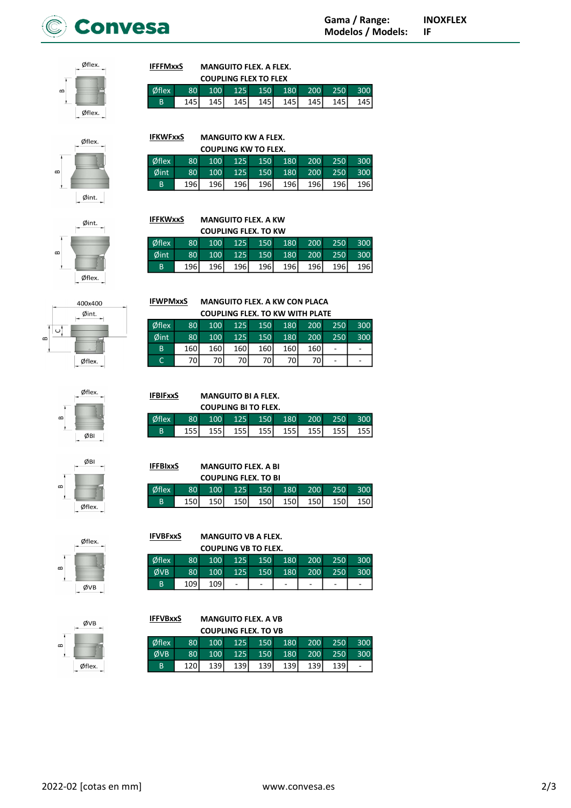



#### MANGUITO FLEX. A FLEX. COUPLING FLEY TO FLEY **IFFFMxxS**

MANGUITO KW A FLEX. COUPLING KW TO FLEX.

**IFKWFxxS** 

**IFFKWxxS** 

MANGUITO FLEX. A KW COUPLING FLEX. TO KW

|       | LUUPLIING FLEA TU FLEA |                  |       |       |                  |                  |       |  |  |  |
|-------|------------------------|------------------|-------|-------|------------------|------------------|-------|--|--|--|
| Øflex | lΩ∩.                   | 100 <sub>1</sub> | 125   | 150   | 180 <sup>1</sup> | 200 <sup>1</sup> |       |  |  |  |
| B     | 145                    | 145 I            | 145 l | 145 l | 145 l            | 145 l            | 145 l |  |  |  |

Øflex 80 100 125 150 180 200 250 300 Øint 80 100 125 150 180 200 250 300 B 196 196 196 196 196 196 196 196

Øflex 80 100 125 150 180 200 250 300 Øint 80 100 125 150 180 200 250 300 B 196 196 196 196 196 196 196 196

 $\phi$ flex. ക  $\emptyset$ int.



# 400x400  $\beta$ int.  $\circ$

Øflex.









|       | <b>COUPLING FLEX. TO VB</b> |                  |       |     |                  |     |     |     |  |  |  |
|-------|-----------------------------|------------------|-------|-----|------------------|-----|-----|-----|--|--|--|
| Øflex | 80 <sup>1</sup>             | 100 <sup>1</sup> | 125   | 150 | 180              | 200 | 250 | 300 |  |  |  |
| ØVB   | 80 <sup>1</sup>             | 100 <sup>1</sup> | 125   | 150 | 180              | 200 | 250 | 300 |  |  |  |
| B     | 120                         | 139              | 139 l | 139 | 139 <sup>I</sup> | 139 |     |     |  |  |  |
|       |                             |                  |       |     |                  |     |     |     |  |  |  |

MANGUITO FLEX. A VB

**IFWPMxxS** 

MANGUITO FLEX. A KW CON PLACA  $\overline{C}$ 

|                 | <b>COUPLING FLEX. TO KW WITH PLATE</b> |       |                  |         |     |     |     |     |  |  |  |  |
|-----------------|----------------------------------------|-------|------------------|---------|-----|-----|-----|-----|--|--|--|--|
| $\phi$ flex     | 80 <sup>°</sup>                        | 100   |                  | 125 150 | 180 | 200 | 250 | 300 |  |  |  |  |
| $\emptyset$ int | 80 <sup>1</sup>                        | 100   | 125              | 150     | 180 | 200 | 250 | 300 |  |  |  |  |
| <sub>B</sub>    | 160 l                                  | 160 l | 160 <sup> </sup> | 160     | 160 | 160 |     |     |  |  |  |  |
|                 | 70I                                    | 70 I  | 70I              | 70 l    | 70I | 70  |     |     |  |  |  |  |

| <b>IFBIFxxS</b>            |                 | <b>MANGUITO BI A FLEX.</b> |  |         |             |       |        |     |  |  |  |  |
|----------------------------|-----------------|----------------------------|--|---------|-------------|-------|--------|-----|--|--|--|--|
| <b>COUPLING BITO FLEX.</b> |                 |                            |  |         |             |       |        |     |  |  |  |  |
| Øflex                      | 80 <sup>1</sup> | 100                        |  | 125 150 | 180         | 200   | $-250$ | 300 |  |  |  |  |
| B                          | 155 l           | 155 l                      |  |         | 155 155 155 | 155 l | 155 l  | 155 |  |  |  |  |

| <b>IFFBIxxS</b>             |                 | <b>MANGUITO FLEX. A BI</b> |                     |     |     |       |       |     |  |  |  |  |
|-----------------------------|-----------------|----------------------------|---------------------|-----|-----|-------|-------|-----|--|--|--|--|
| <b>COUPLING FLEX. TO BI</b> |                 |                            |                     |     |     |       |       |     |  |  |  |  |
| Øflex                       | 80 <sup>1</sup> |                            | 100 125 150 180 200 |     |     |       | 250   | 300 |  |  |  |  |
| B                           | 150I            | 150 l                      | 150 l               | 150 | 150 | 150 l | 150 l | 150 |  |  |  |  |

MANGUITO VB A FLEX. **IFVBFxxS** 

**IFFVBxxS** 

| <b>COUPLING VB TO FLEX.</b> |                 |                  |                |            |     |            |     |     |  |  |  |
|-----------------------------|-----------------|------------------|----------------|------------|-----|------------|-----|-----|--|--|--|
| Øflex                       | 80 <sup>1</sup> | 100 <sup>1</sup> | $\sqrt{125}$   | 150        | 180 | 200        | 250 | 300 |  |  |  |
| <b>ØVB</b>                  | 80 <sup>1</sup> | 100 <sup>1</sup> | 125            | <b>150</b> | 180 | <b>200</b> | 250 | 300 |  |  |  |
| B                           | 1091            | 109              | $\overline{a}$ |            |     | -          | -   |     |  |  |  |